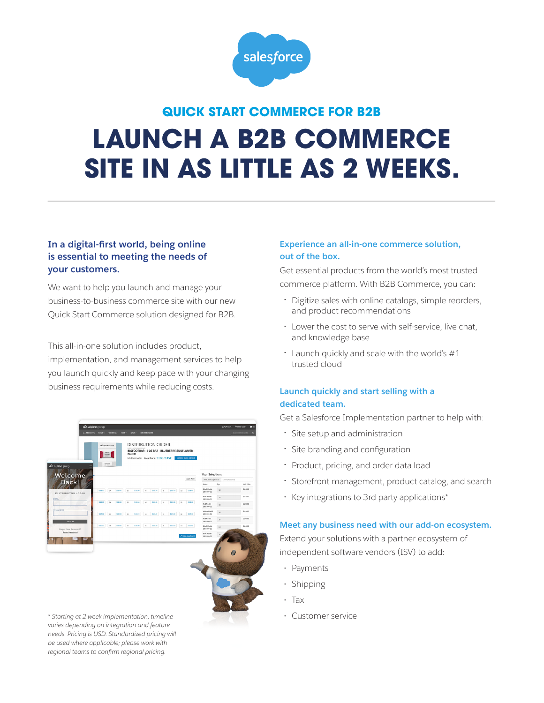

# **QUICK START COMMERCE FOR B2B LAUNCH A B2B COMMERCE SITE IN AS LITTLE AS 2 WEEKS.**

## **In a digital-first world, being online is essential to meeting the needs of your customers.**

We want to help you launch and manage your business-to-business commerce site with our new Quick Start Commerce solution designed for B2B.

This all-in-one solution includes product, implementation, and management services to help you launch quickly and keep pace with your changing business requirements while reducing costs.

| A alpine group        |          | $\Delta\lambda$ sipine matrices<br><b>North</b><br>son Count |          | <b>CARDIO &amp; MIL</b>    | PALEO    |              | DISTRIBUTION ORDER<br>\$115/CASE Your Price: \$108/CASE |              | BIGFOOTBAR - 2 OZ BAR - BLUEBERRY/SUNFLOWER - |      | REPEAT BULK ORDER  |                                   |                  |                   |
|-----------------------|----------|--------------------------------------------------------------|----------|----------------------------|----------|--------------|---------------------------------------------------------|--------------|-----------------------------------------------|------|--------------------|-----------------------------------|------------------|-------------------|
| Welcome               |          |                                                              |          |                            |          |              |                                                         |              |                                               |      |                    | <b>Your Selections</b>            |                  |                   |
| <b>Back!</b>          |          |                                                              |          |                            |          |              |                                                         |              |                                               |      | Apply Ratio        | Add Label (Optional)              | Label (Optional) |                   |
|                       |          |                                                              |          |                            |          |              |                                                         |              |                                               |      |                    | Name                              | Qty              | <b>Unit Price</b> |
| DISTRIBUTOR LOGIN     | \$115.00 | $^{24}$                                                      | \$125.00 | $\mathbb{N}$               | \$115.00 | $\mathbf{M}$ | \$125.00                                                | 34           | \$115.00                                      | 12   | \$115.00           | <b>Ring's Model</b><br>1804100-01 | 38               | \$115.00          |
| <b>EMAIL</b>          |          |                                                              |          |                            |          |              |                                                         |              |                                               |      |                    | <b>Blue Model</b><br>1803100-01   | 38               | \$112.00          |
|                       | \$112.00 | $\mathbb{N}$                                                 | \$152.00 | $\mathbf{M}$               | 5112.00  | $\mathbf{M}$ | 5112.00                                                 | 34           | \$112.00                                      | $12$ | 5312.00            | Red Model<br>1005100-01           | $_{33}$          | \$108.00          |
| <b>PASSWORD</b>       | \$308.00 | $\mathbb{R}^2$                                               | \$108.00 | $\boldsymbol{\mathcal{U}}$ | \$308.00 | $36$         | \$109.00                                                | $\mathbf{M}$ | \$108.00                                      | 12   | 5309.00            | Yellow Model<br>1000100-01        | $_{\rm 10}$      | 5110.00           |
| SIGN IN               |          |                                                              |          |                            |          |              |                                                         |              |                                               |      |                    | Red Model<br>1805100-02           | 24               | \$108.00          |
| Forget Your Password? | \$110.00 | $\mathbf{z}$                                                 | \$100.00 | $\mathbf{z}$               | \$110.00 | $\mathbf{M}$ | \$120.00                                                | $\mathbf{M}$ | \$110.00                                      | 12   | 5112.00            | Black Model<br>1804100-02         | 24               | \$115.00          |
| Reset Password        |          |                                                              |          |                            |          |              |                                                         |              |                                               |      | A Build Assortment | Blue Model<br>1003100-02          | 24               |                   |
|                       |          |                                                              |          |                            |          |              |                                                         |              |                                               |      |                    |                                   |                  |                   |

*\* Starting at 2 week implementation, timeline* • Customer service *varies depending on integration and feature needs. Pricing is USD. Standardized pricing will be used where applicable; please work with regional teams to confirm regional pricing.*

### **Experience an all-in-one commerce solution, out of the box.**

Get essential products from the world's most trusted commerce platform. With B2B Commerce, you can:

- Digitize sales with online catalogs, simple reorders, and product recommendations
- Lower the cost to serve with self-service, live chat, and knowledge base
- Launch quickly and scale with the world's #1 trusted cloud

#### **Launch quickly and start selling with a dedicated team.**

Get a Salesforce Implementation partner to help with:

- Site setup and administration
- Site branding and configuration
- Product, pricing, and order data load
- Storefront management, product catalog, and search
- Key integrations to 3rd party applications\*

#### **Meet any business need with our add-on ecosystem.**

Extend your solutions with a partner ecosystem of independent software vendors (ISV) to add:

- Payments
- Shipping
- Tax
-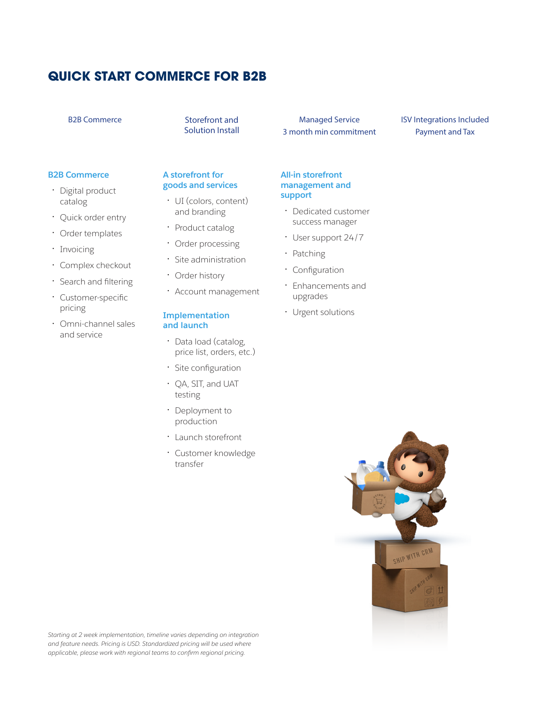# **QUICK START COMMERCE FOR B2B**

#### B2B Commerce Storefront and

Solution Install

Managed Service 3 month min commitment

### ISV Integrations Included Payment and Tax

#### **B2B Commerce**

- Digital product catalog
- Quick order entry
- Order templates
- Invoicing
- Complex checkout
- Search and filtering
- Customer-specific pricing
- Omni-channel sales and service

#### **A storefront for goods and services**

- UI (colors, content) and branding
- Product catalog
- Order processing
- Site administration
- Order history
- Account management

#### **Implementation and launch**

- Data load (catalog, price list, orders, etc.)
- Site configuration
- QA, SIT, and UAT testing
- Deployment to production
- Launch storefront
- Customer knowledge transfer

## **management and support**

**All-in storefront** 

- Dedicated customer success manager
- User support 24/7
- Patching
- Configuration
- Enhancements and upgrades
- Urgent solutions



*Starting at 2 week implementation, timeline varies depending on integration and feature needs. Pricing is USD. Standardized pricing will be used where applicable, please work with regional teams to confirm regional pricing.*